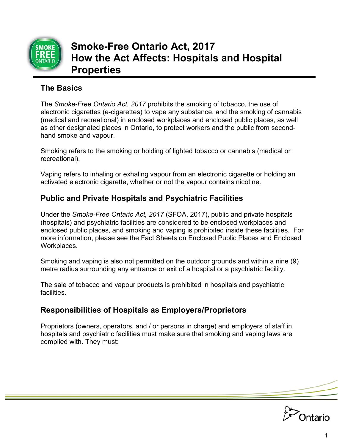

# **Smoke-Free Ontario Act, 2017 How the Act Affects: Hospitals and Hospital Properties**

#### **The Basics**

The *Smoke-Free Ontario Act, 2017* prohibits the smoking of tobacco, the use of electronic cigarettes (e-cigarettes) to vape any substance, and the smoking of cannabis (medical and recreational) in enclosed workplaces and enclosed public places, as well as other designated places in Ontario, to protect workers and the public from secondhand smoke and vapour.

Smoking refers to the smoking or holding of lighted tobacco or cannabis (medical or recreational).

Vaping refers to inhaling or exhaling vapour from an electronic cigarette or holding an activated electronic cigarette, whether or not the vapour contains nicotine.

# **Public and Private Hospitals and Psychiatric Facilities**

Under the *Smoke-Free Ontario Act, 2017* (SFOA, 2017), public and private hospitals (hospitals) and psychiatric facilities are considered to be enclosed workplaces and enclosed public places, and smoking and vaping is prohibited inside these facilities. For more information, please see the Fact Sheets on Enclosed Public Places and Enclosed Workplaces.

Smoking and vaping is also not permitted on the outdoor grounds and within a nine (9) metre radius surrounding any entrance or exit of a hospital or a psychiatric facility.

The sale of tobacco and vapour products is prohibited in hospitals and psychiatric facilities.

# **Responsibilities of Hospitals as Employers/Proprietors**

Proprietors (owners, operators, and / or persons in charge) and employers of staff in hospitals and psychiatric facilities must make sure that smoking and vaping laws are complied with. They must:

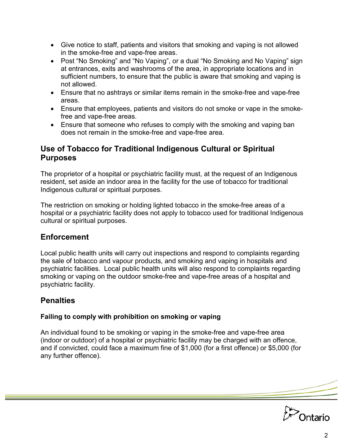- Give notice to staff, patients and visitors that smoking and vaping is not allowed in the smoke-free and vape-free areas.
- Post "No Smoking" and "No Vaping", or a dual "No Smoking and No Vaping" sign at entrances, exits and washrooms of the area, in appropriate locations and in sufficient numbers, to ensure that the public is aware that smoking and vaping is not allowed.
- Ensure that no ashtrays or similar items remain in the smoke-free and vape-free areas.
- Ensure that employees, patients and visitors do not smoke or vape in the smokefree and vape-free areas.
- Ensure that someone who refuses to comply with the smoking and vaping ban does not remain in the smoke-free and vape-free area.

#### **Use of Tobacco for Traditional Indigenous Cultural or Spiritual Purposes**

The proprietor of a hospital or psychiatric facility must, at the request of an Indigenous resident, set aside an indoor area in the facility for the use of tobacco for traditional Indigenous cultural or spiritual purposes.

The restriction on smoking or holding lighted tobacco in the smoke-free areas of a hospital or a psychiatric facility does not apply to tobacco used for traditional Indigenous cultural or spiritual purposes.

# **Enforcement**

Local public health units will carry out inspections and respond to complaints regarding the sale of tobacco and vapour products, and smoking and vaping in hospitals and psychiatric facilities. Local public health units will also respond to complaints regarding smoking or vaping on the outdoor smoke-free and vape-free areas of a hospital and psychiatric facility.

# **Penalties**

#### **Failing to comply with prohibition on smoking or vaping**

An individual found to be smoking or vaping in the smoke-free and vape-free area (indoor or outdoor) of a hospital or psychiatric facility may be charged with an offence, and if convicted, could face a maximum fine of \$1,000 (for a first offence) or \$5,000 (for any further offence).

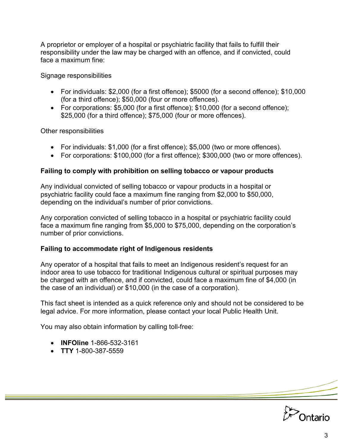A proprietor or employer of a hospital or psychiatric facility that fails to fulfill their responsibility under the law may be charged with an offence, and if convicted, could face a maximum fine:

Signage responsibilities

- For individuals: \$2,000 (for a first offence); \$5000 (for a second offence); \$10,000 (for a third offence); \$50,000 (four or more offences).
- For corporations: \$5,000 (for a first offence); \$10,000 (for a second offence); \$25,000 (for a third offence); \$75,000 (four or more offences).

Other responsibilities

- For individuals: \$1,000 (for a first offence); \$5,000 (two or more offences).
- For corporations: \$100,000 (for a first offence); \$300,000 (two or more offences).

#### **Failing to comply with prohibition on selling tobacco or vapour products**

Any individual convicted of selling tobacco or vapour products in a hospital or psychiatric facility could face a maximum fine ranging from \$2,000 to \$50,000, depending on the individual's number of prior convictions.

Any corporation convicted of selling tobacco in a hospital or psychiatric facility could face a maximum fine ranging from \$5,000 to \$75,000, depending on the corporation's number of prior convictions.

#### **Failing to accommodate right of Indigenous residents**

Any operator of a hospital that fails to meet an Indigenous resident's request for an indoor area to use tobacco for traditional Indigenous cultural or spiritual purposes may be charged with an offence, and if convicted, could face a maximum fine of \$4,000 (in the case of an individual) or \$10,000 (in the case of a corporation).

This fact sheet is intended as a quick reference only and should not be considered to be legal advice. For more information, please contact your local Public Health Unit.

You may also obtain information by calling toll-free:

- **INFOline** 1-866-532-3161
- **TTY** 1-800-387-5559